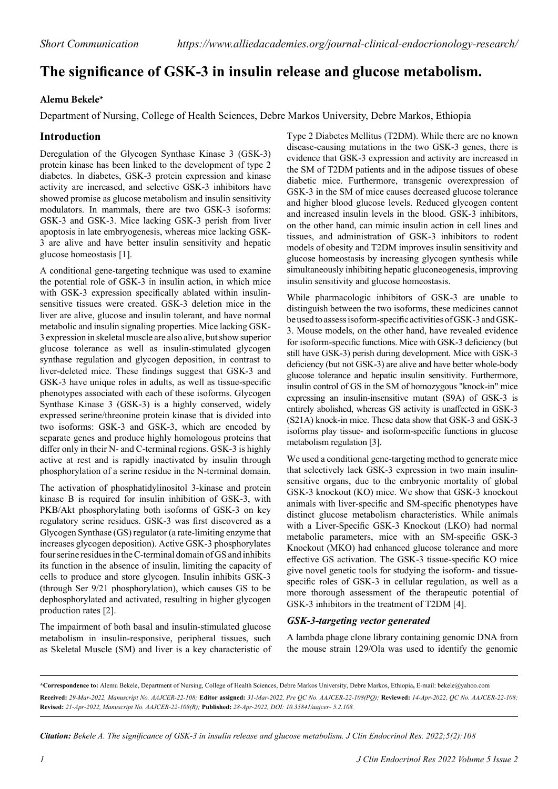# **The significance of GSK-3 in insulin release and glucose metabolism.**

### **Alemu Bekele\***

Department of Nursing, College of Health Sciences, Debre Markos University, Debre Markos, Ethiopia

## **Introduction**

Deregulation of the Glycogen Synthase Kinase 3 (GSK-3) protein kinase has been linked to the development of type 2 diabetes. In diabetes, GSK-3 protein expression and kinase activity are increased, and selective GSK-3 inhibitors have showed promise as glucose metabolism and insulin sensitivity modulators. In mammals, there are two GSK-3 isoforms: GSK-3 and GSK-3. Mice lacking GSK-3 perish from liver apoptosis in late embryogenesis, whereas mice lacking GSK-3 are alive and have better insulin sensitivity and hepatic glucose homeostasis [1].

A conditional gene-targeting technique was used to examine the potential role of GSK-3 in insulin action, in which mice with GSK-3 expression specifically ablated within insulinsensitive tissues were created. GSK-3 deletion mice in the liver are alive, glucose and insulin tolerant, and have normal metabolic and insulin signaling properties. Mice lacking GSK-3 expression in skeletal muscle are also alive, but show superior glucose tolerance as well as insulin-stimulated glycogen synthase regulation and glycogen deposition, in contrast to liver-deleted mice. These findings suggest that GSK-3 and GSK-3 have unique roles in adults, as well as tissue-specific phenotypes associated with each of these isoforms. Glycogen Synthase Kinase 3 (GSK-3) is a highly conserved, widely expressed serine/threonine protein kinase that is divided into two isoforms: GSK-3 and GSK-3, which are encoded by separate genes and produce highly homologous proteins that differ only in their N- and C-terminal regions. GSK-3 is highly active at rest and is rapidly inactivated by insulin through phosphorylation of a serine residue in the N-terminal domain.

The activation of phosphatidylinositol 3-kinase and protein kinase B is required for insulin inhibition of GSK-3, with PKB/Akt phosphorylating both isoforms of GSK-3 on key regulatory serine residues. GSK-3 was first discovered as a Glycogen Synthase (GS) regulator (a rate-limiting enzyme that increases glycogen deposition). Active GSK-3 phosphorylates four serine residues in the C-terminal domain of GS and inhibits its function in the absence of insulin, limiting the capacity of cells to produce and store glycogen. Insulin inhibits GSK-3 (through Ser 9/21 phosphorylation), which causes GS to be dephosphorylated and activated, resulting in higher glycogen production rates [2].

The impairment of both basal and insulin-stimulated glucose metabolism in insulin-responsive, peripheral tissues, such as Skeletal Muscle (SM) and liver is a key characteristic of

Type 2 Diabetes Mellitus (T2DM). While there are no known disease-causing mutations in the two GSK-3 genes, there is evidence that GSK-3 expression and activity are increased in the SM of T2DM patients and in the adipose tissues of obese diabetic mice. Furthermore, transgenic overexpression of GSK-3 in the SM of mice causes decreased glucose tolerance and higher blood glucose levels. Reduced glycogen content and increased insulin levels in the blood. GSK-3 inhibitors, on the other hand, can mimic insulin action in cell lines and tissues, and administration of GSK-3 inhibitors to rodent models of obesity and T2DM improves insulin sensitivity and glucose homeostasis by increasing glycogen synthesis while simultaneously inhibiting hepatic gluconeogenesis, improving insulin sensitivity and glucose homeostasis.

While pharmacologic inhibitors of GSK-3 are unable to distinguish between the two isoforms, these medicines cannot be used to assess isoform-specific activities of GSK-3 and GSK-3. Mouse models, on the other hand, have revealed evidence for isoform-specific functions. Mice with GSK-3 deficiency (but still have GSK-3) perish during development. Mice with GSK-3 deficiency (but not GSK-3) are alive and have better whole-body glucose tolerance and hepatic insulin sensitivity. Furthermore, insulin control of GS in the SM of homozygous "knock-in" mice expressing an insulin-insensitive mutant (S9A) of GSK-3 is entirely abolished, whereas GS activity is unaffected in GSK-3 (S21A) knock-in mice. These data show that GSK-3 and GSK-3 isoforms play tissue- and isoform-specific functions in glucose metabolism regulation [3].

We used a conditional gene-targeting method to generate mice that selectively lack GSK-3 expression in two main insulinsensitive organs, due to the embryonic mortality of global GSK-3 knockout (KO) mice. We show that GSK-3 knockout animals with liver-specific and SM-specific phenotypes have distinct glucose metabolism characteristics. While animals with a Liver-Specific GSK-3 Knockout (LKO) had normal metabolic parameters, mice with an SM-specific GSK-3 Knockout (MKO) had enhanced glucose tolerance and more effective GS activation. The GSK-3 tissue-specific KO mice give novel genetic tools for studying the isoform- and tissuespecific roles of GSK-3 in cellular regulation, as well as a more thorough assessment of the therapeutic potential of GSK-3 inhibitors in the treatment of T2DM [4].

#### *GSK-3-targeting vector generated*

A lambda phage clone library containing genomic DNA from the mouse strain 129/Ola was used to identify the genomic

*Citation: Bekele A. The significance of GSK-3 in insulin release and glucose metabolism. J Clin Endocrinol Res. 2022;5(2):108*

**<sup>\*</sup>Correspondence to:** Alemu Bekele, Department of Nursing, College of Health Sciences, Debre Markos University, Debre Markos, Ethiopia**,** E-mail: bekele@yahoo.com **Received:** *29-Mar-2022, Manuscript No. AAJCER-22-108;* **Editor assigned:** *31-Mar-2022, Pre QC No. AAJCER-22-108(PQ);* **Reviewed:** *14-Apr-2022, QC No. AAJCER-22-108;*  **Revised:** *21-Apr-2022, Manuscript No. AAJCER-22-108(R);* **Published:** *28-Apr-2022, DOI: 10.35841/aajcer- 5.2.108.*